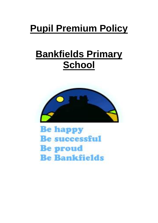# **Pupil Premium Policy**

## **Bankfields Primary School**



**Be happy Be successful Be proud Be Bankfields**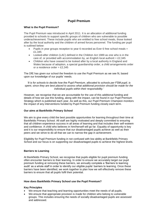### **Pupil Premium**

#### **What is the Pupil Premium?**

The Pupil Premium was introduced in April 2011. It is an allocation of additional funding provided to schools to support specific groups of children who are vulnerable to possible underachievement. These include pupils who are entitled to free school meals, those looked after by the local authority and the children of armed forces personnel. The funding per pupil is outlined below:

- Pupils in year groups reception to year 6 recorded as Ever 6 free school meals = £1,345
- Looked-after children (LAC) defined in the Children Act 1989 as one who is in the care of, or provided with accommodation by, an English local authorit =  $£2,345$
- Children who have ceased to be looked after by a local authority in England and Wales because of adoption, a special guardianship order, a child arrangements order or a residence order =  $£2.345$

The DfE has given our school the freedom to use the Pupil Premium as we see fit, based upon our knowledge of our pupils' needs.

*'It is for schools to decide how the Pupil Premium, allocated to schools per FSM pupil, is spent, since they are best placed to assess what additional provision should be made for the individual pupils within their responsibility.'*

However, we recognise that we are accountable for the use of this additional funding and details of how we use this funding, along with the impact, can be found in our Pupil Premium Strategy which is published each year. As well as this, our Pupil Premium Champion monitors the impact of any interventions funded by Pupil Premium funding closely each term.

#### **Our aims at Bankfields Primary School**

We aim to give every child the best possible opportunities for learning throughout their time at Bankfields Primary School. All staff are highly motivated and deeply committed to ensuring that all children experience success in all areas of learning and that includes their self-esteem and confidence. A child who believes in him/herself will go far. Equality of opportunity is key and it is our responsibility to ensure that our disadvantaged pupils achieve as well as their peers and we strive to do all that we can to narrow the gap in achievement.

Eligibility for Pupil Premium funding in not confused with low ability at Bankfields Primary School and our focus is on supporting our disadvantaged pupils to achieve the highest levels.

#### **Barriers to Learning**

At Bankfields Primary School, we recognise that pupils eligible for pupil premium funding often encounter barriers to their learning. In order to ensure we accurately target our pupil premium funding at removing these barriers, we annually complete a 'Barriers to learning audit' as a whole staff in order to identify our eligible pupils' barriers to learning. Once these barriers have been identified, we work together to plan how we will effectively remove these barriers to ensure that all pupils fulfil their potential.

#### **How does Bankfields Primary School use the Pupil Premium?**

#### **Key Principles**

- We ensure that teaching and learning opportunities meet the needs of all pupils.
- We ensure that appropriate provision is made for children who belong to vulnerable groups. This includes ensuring the needs of socially disadvantaged pupils are assessed and addressed.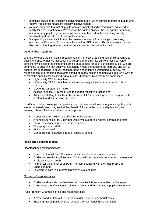- In making provision for socially disadvantaged pupils, we recognise that not all pupils who receive free school meals are socially disadvantaged.
- We also recognise that not all pupils who are socially disadvantaged are registered or qualify for free school meals. We reserve the right to allocate the pupil premium funding to support any pupil or groups of pupils who have been identified as being socially disadvantaged and at risk of underachievement.
- Our spending strategy is informed by research evidence from a range of sources, including the Education Endowment Foundation (EEF) toolkit. This is to ensure that we allocate our funding to have the maximum impact on outcomes for pupils.

#### **Quality First Teaching**

We acknowledge the significant impact that highly effective teaching has on disadvantaged pupils and ensure that we invest our pupil premium funding into our relentless pursuit of consistently excellent teaching and learning experiences for all of our eligible pupils. We are committed to ensuring that quality first teaching meets the needs of all learners, and aim to ensure that all teaching is never less than good and much is outstanding. Similarly, we recognise that our teaching assistants should be highly skilled and deployed in such a way as to meet the specific needs of individual pupils. Therefore, this investment comprises:

- High quality CPD for teachers;
- High quality CPD for teaching assistants, closely aligned to their specific role in school;
- Mentoring for staff at all levels:
- Access to online CPD resources to support reflective practice and
- Additional staffing to facilitate the delivery of 1:1 and small group teaching for both pre-teach and intervention sessions.

In addition, we acknowledge that pastoral support is essential in ensuring our eligible pupils are 'school ready' each day so that they benefit fully from the high quality teaching and learning offered. This pastoral support comprises:

- A subsidised Breakfast and After School Club and
- A school counsellor for 1 day per week who supports children, parents and staff.
- Thrive practitioners in each phase of school.
- Theraplay trained staff.
- ELSA trained staff.
- Mental Health First Aiders in each phase of school.

#### **Roles and Responsibilities**

Headteacher's responsibilities:

- To ensure that all Pupil Premium Pupils have been accurately identified;
- To decide how the Pupil Premium funding will be spent in order to meet the needs of all disadvantaged pupils;
- To monitor the impact of all Pupil Premium spending with the Pupil Premium Champion and
- To communicate this information with all stakeholders

#### Governors' responsibilities:

- To decide alongside the Headteacher, how Pupil Premium funding will be spent;
- To evaluate the effectiveness of interventions and the impact on pupil achievement.

#### Pupil Premium Champion's role and responsibilities:

- A review and update of the Pupil Premium Policy on an annual basis;
- Ensuring that all pupils eligible for pupil premium funding are identified;